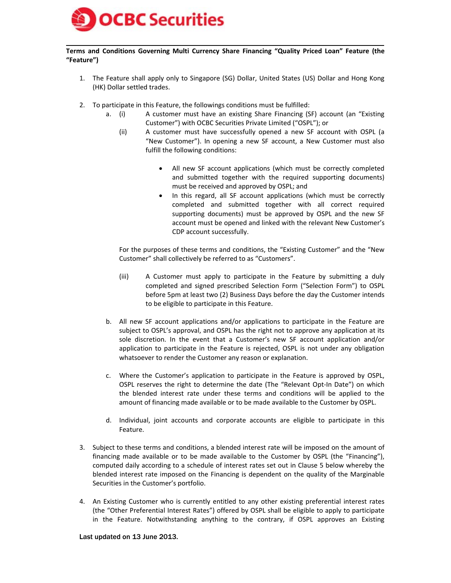

### **Terms and Conditions Governing Multi Currency Share Financing "Quality Priced Loan" Feature (the "Feature")**

- 1. The Feature shall apply only to Singapore (SG) Dollar, United States (US) Dollar and Hong Kong (HK) Dollar settled trades.
- 2. To participate in this Feature, the followings conditions must be fulfilled:
	- a. (i) A customer must have an existing Share Financing (SF) account (an "Existing Customer") with OCBC Securities Private Limited ("OSPL"); or
		- (ii) A customer must have successfully opened a new SF account with OSPL (a "New Customer"). In opening a new SF account, a New Customer must also fulfill the following conditions:
			- All new SF account applications (which must be correctly completed and submitted together with the required supporting documents) must be received and approved by OSPL; and
			- In this regard, all SF account applications (which must be correctly completed and submitted together with all correct required supporting documents) must be approved by OSPL and the new SF account must be opened and linked with the relevant New Customer's CDP account successfully.

For the purposes of these terms and conditions, the "Existing Customer" and the "New Customer" shall collectively be referred to as "Customers".

- (iii) A Customer must apply to participate in the Feature by submitting a duly completed and signed prescribed Selection Form ("Selection Form") to OSPL before 5pm at least two (2) Business Days before the day the Customer intends to be eligible to participate in this Feature.
- b. All new SF account applications and/or applications to participate in the Feature are subject to OSPL's approval, and OSPL has the right not to approve any application at its sole discretion. In the event that a Customer's new SF account application and/or application to participate in the Feature is rejected, OSPL is not under any obligation whatsoever to render the Customer any reason or explanation.
- c. Where the Customer's application to participate in the Feature is approved by OSPL, OSPL reserves the right to determine the date (The "Relevant Opt-In Date") on which the blended interest rate under these terms and conditions will be applied to the amount of financing made available or to be made available to the Customer by OSPL.
- d. Individual, joint accounts and corporate accounts are eligible to participate in this Feature.
- 3. Subject to these terms and conditions, a blended interest rate will be imposed on the amount of financing made available or to be made available to the Customer by OSPL (the "Financing"), computed daily according to a schedule of interest rates set out in Clause 5 below whereby the blended interest rate imposed on the Financing is dependent on the quality of the Marginable Securities in the Customer's portfolio.
- 4. An Existing Customer who is currently entitled to any other existing preferential interest rates (the "Other Preferential Interest Rates") offered by OSPL shall be eligible to apply to participate in the Feature. Notwithstanding anything to the contrary, if OSPL approves an Existing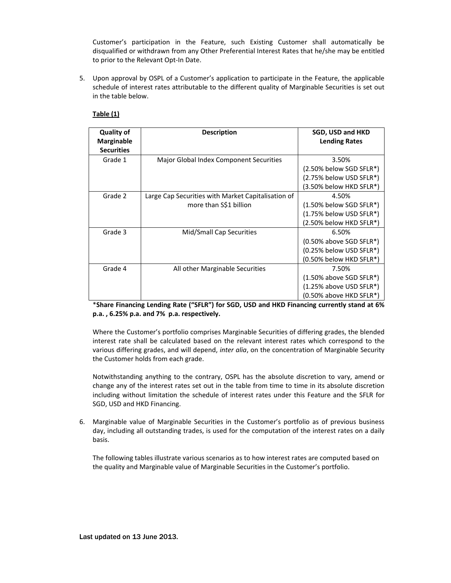Customer's participation in the Feature, such Existing Customer shall automatically be disqualified or withdrawn from any Other Preferential Interest Rates that he/she may be entitled to prior to the Relevant Opt-In Date.

5. Upon approval by OSPL of a Customer's application to participate in the Feature, the applicable schedule of interest rates attributable to the different quality of Marginable Securities is set out in the table below.

## **Table (1)**

| <b>Quality of</b><br><b>Marginable</b><br><b>Securities</b> | <b>Description</b>                                 | <b>SGD, USD and HKD</b><br><b>Lending Rates</b>    |
|-------------------------------------------------------------|----------------------------------------------------|----------------------------------------------------|
| Grade 1                                                     | Major Global Index Component Securities            | 3.50%<br>(2.50% below SGD SFLR*)                   |
|                                                             |                                                    | (2.75% below USD SFLR*)<br>(3.50% below HKD SFLR*) |
| Grade 2                                                     | Large Cap Securities with Market Capitalisation of | 4.50%                                              |
|                                                             | more than S\$1 billion                             | $(1.50\%$ below SGD SFLR*)                         |
|                                                             |                                                    | (1.75% below USD SFLR*)                            |
|                                                             |                                                    | (2.50% below HKD SFLR*)                            |
| Grade 3                                                     | Mid/Small Cap Securities                           | 6.50%                                              |
|                                                             |                                                    | $(0.50\%$ above SGD SFLR $*)$                      |
|                                                             |                                                    | (0.25% below USD SFLR*)                            |
|                                                             |                                                    | (0.50% below HKD SFLR*)                            |
| Grade 4                                                     | All other Marginable Securities                    | 7.50%                                              |
|                                                             |                                                    | $(1.50\%$ above SGD SFLR*)                         |
|                                                             |                                                    | (1.25% above USD SFLR*)                            |
|                                                             |                                                    | (0.50% above HKD SFLR*)                            |

\***Share Financing Lending Rate ("SFLR") for SGD, USD and HKD Financing currently stand at 6% p.a. , 6.25% p.a. and 7% p.a. respectively.**

Where the Customer's portfolio comprises Marginable Securities of differing grades, the blended interest rate shall be calculated based on the relevant interest rates which correspond to the various differing grades, and will depend, *inter alia*, on the concentration of Marginable Security the Customer holds from each grade.

Notwithstanding anything to the contrary, OSPL has the absolute discretion to vary, amend or change any of the interest rates set out in the table from time to time in its absolute discretion including without limitation the schedule of interest rates under this Feature and the SFLR for SGD, USD and HKD Financing.

6. Marginable value of Marginable Securities in the Customer's portfolio as of previous business day, including all outstanding trades, is used for the computation of the interest rates on a daily basis.

The following tables illustrate various scenarios as to how interest rates are computed based on the quality and Marginable value of Marginable Securities in the Customer's portfolio.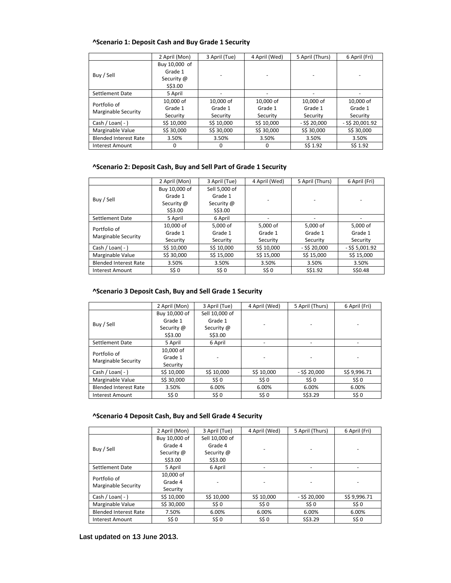# **^Scenario 1: Deposit Cash and Buy Grade 1 Security**

|                                     | 2 April (Mon) | 3 April (Tue) | 4 April (Wed) | 5 April (Thurs) | 6 April (Fri)     |
|-------------------------------------|---------------|---------------|---------------|-----------------|-------------------|
| Buy / Sell                          | Buy 10,000 of |               |               |                 |                   |
|                                     | Grade 1       |               |               |                 |                   |
|                                     | Security @    |               |               |                 |                   |
|                                     | S\$3.00       |               |               |                 |                   |
| Settlement Date                     | 5 April       |               |               |                 |                   |
| Portfolio of<br>Marginable Security | 10.000 of     | 10,000 of     | 10,000 of     | 10,000 of       | 10,000 of         |
|                                     | Grade 1       | Grade 1       | Grade 1       | Grade 1         | Grade 1           |
|                                     | Security      | Security      | Security      | Security        | Security          |
| Cash / Loan( $-$ )                  | S\$ 10,000    | S\$ 10,000    | S\$ 10,000    | $-S520.000$     | $-$ S\$ 20,001.92 |
| Marginable Value                    | S\$ 30,000    | S\$ 30,000    | S\$ 30,000    | S\$ 30,000      | S\$ 30,000        |
| <b>Blended Interest Rate</b>        | 3.50%         | 3.50%         | 3.50%         | 3.50%           | 3.50%             |
| <b>Interest Amount</b>              | 0             | 0             | O             | S\$ 1.92        | S\$ 1.92          |

## **^Scenario 2: Deposit Cash, Buy and Sell Part of Grade 1 Security**

|                              | 2 April (Mon) | 3 April (Tue) | 4 April (Wed) | 5 April (Thurs) | 6 April (Fri)    |
|------------------------------|---------------|---------------|---------------|-----------------|------------------|
|                              | Buy 10,000 of | Sell 5,000 of |               |                 |                  |
| Buy / Sell                   | Grade 1       | Grade 1       |               |                 |                  |
|                              | Security @    | Security @    |               |                 |                  |
|                              | S\$3.00       | S\$3.00       |               |                 |                  |
| Settlement Date              | 5 April       | 6 April       |               |                 |                  |
| Portfolio of                 | 10,000 of     | 5.000 of      | 5,000 of      | 5,000 of        | 5,000 of         |
| Marginable Security          | Grade 1       | Grade 1       | Grade 1       | Grade 1         | Grade 1          |
|                              | Security      | Security      | Security      | Security        | Security         |
| Cash / Loan( $-$ )           | S\$ 10.000    | S\$ 10,000    | S\$ 10,000    | $-$ S\$ 20,000  | $-$ S\$ 5,001.92 |
| Marginable Value             | S\$ 30,000    | S\$ 15,000    | S\$ 15,000    | S\$ 15,000      | S\$ 15,000       |
| <b>Blended Interest Rate</b> | 3.50%         | 3.50%         | 3.50%         | 3.50%           | 3.50%            |
| Interest Amount              | S\$ 0         | S\$ 0         | S\$ 0         | S\$1.92         | S\$0.48          |

# **^Scenario 3 Deposit Cash, Buy and Sell Grade 1 Security**

|                                            | 2 April (Mon) | 3 April (Tue)  | 4 April (Wed) | 5 April (Thurs) | 6 April (Fri) |
|--------------------------------------------|---------------|----------------|---------------|-----------------|---------------|
| Buy / Sell                                 | Buy 10,000 of | Sell 10,000 of |               |                 |               |
|                                            | Grade 1       | Grade 1        |               |                 |               |
|                                            | Security @    | Security @     |               |                 |               |
|                                            | S\$3.00       | S\$3.00        |               |                 |               |
| Settlement Date                            | 5 April       | 6 April        |               |                 |               |
| Portfolio of<br><b>Marginable Security</b> | 10,000 of     |                |               |                 |               |
|                                            | Grade 1       |                |               |                 |               |
|                                            | Security      |                |               |                 |               |
| Cash / Loan( $-$ )                         | S\$ 10,000    | S\$ 10,000     | S\$ 10,000    | $-$ S\$ 20,000  | S\$ 9,996.71  |
| Marginable Value                           | S\$ 30,000    | S\$ 0          | S\$ 0         | S\$ 0           | S\$ 0         |
| <b>Blended Interest Rate</b>               | 3.50%         | 6.00%          | 6.00%         | 6.00%           | 6.00%         |
| Interest Amount                            | S\$ 0         | S\$ 0          | S\$ 0         | S\$3.29         | S\$ 0         |

### **^Scenario 4 Deposit Cash, Buy and Sell Grade 4 Security**

|                                     | 2 April (Mon) | 3 April (Tue)  | 4 April (Wed) | 5 April (Thurs) | 6 April (Fri) |
|-------------------------------------|---------------|----------------|---------------|-----------------|---------------|
| Buy / Sell                          | Buy 10,000 of | Sell 10,000 of |               |                 |               |
|                                     | Grade 4       | Grade 4        |               |                 |               |
|                                     | Security @    | Security @     |               |                 |               |
|                                     | S\$3.00       | S\$3.00        |               |                 |               |
| Settlement Date                     | 5 April       | 6 April        |               |                 |               |
| Portfolio of<br>Marginable Security | 10,000 of     |                |               |                 |               |
|                                     | Grade 4       |                |               |                 |               |
|                                     | Security      |                |               |                 |               |
| Cash / Loan( $-$ )                  | S\$ 10,000    | S\$ 10,000     | S\$ 10,000    | $-$ S\$ 20,000  | S\$ 9,996.71  |
| Marginable Value                    | S\$ 30,000    | S\$ 0          | S\$ 0         | S50             | S\$ 0         |
| <b>Blended Interest Rate</b>        | 7.50%         | 6.00%          | 6.00%         | 6.00%           | 6.00%         |
| <b>Interest Amount</b>              | S\$ 0         | S\$ 0          | S\$ 0         | S\$3.29         | S\$ 0         |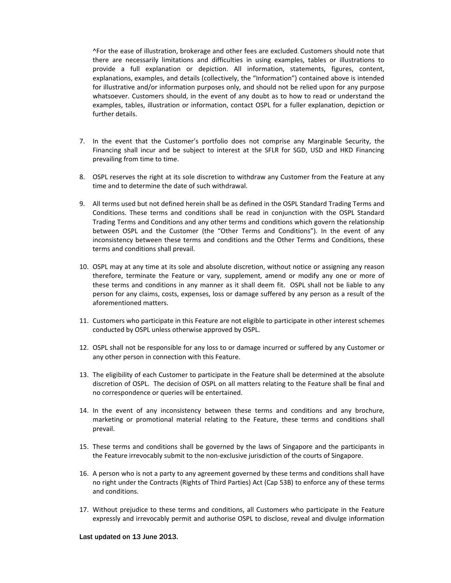^For the ease of illustration, brokerage and other fees are excluded. Customers should note that there are necessarily limitations and difficulties in using examples, tables or illustrations to provide a full explanation or depiction. All information, statements, figures, content, explanations, examples, and details (collectively, the "Information") contained above is intended for illustrative and/or information purposes only, and should not be relied upon for any purpose whatsoever. Customers should, in the event of any doubt as to how to read or understand the examples, tables, illustration or information, contact OSPL for a fuller explanation, depiction or further details.

- 7. In the event that the Customer's portfolio does not comprise any Marginable Security, the Financing shall incur and be subject to interest at the SFLR for SGD, USD and HKD Financing prevailing from time to time.
- 8. OSPL reserves the right at its sole discretion to withdraw any Customer from the Feature at any time and to determine the date of such withdrawal.
- 9. All terms used but not defined herein shall be as defined in the OSPL Standard Trading Terms and Conditions. These terms and conditions shall be read in conjunction with the OSPL Standard Trading Terms and Conditions and any other terms and conditions which govern the relationship between OSPL and the Customer (the "Other Terms and Conditions"). In the event of any inconsistency between these terms and conditions and the Other Terms and Conditions, these terms and conditions shall prevail.
- 10. OSPL may at any time at its sole and absolute discretion, without notice or assigning any reason therefore, terminate the Feature or vary, supplement, amend or modify any one or more of these terms and conditions in any manner as it shall deem fit. OSPL shall not be liable to any person for any claims, costs, expenses, loss or damage suffered by any person as a result of the aforementioned matters.
- 11. Customers who participate in this Feature are not eligible to participate in other interest schemes conducted by OSPL unless otherwise approved by OSPL.
- 12. OSPL shall not be responsible for any loss to or damage incurred or suffered by any Customer or any other person in connection with this Feature.
- 13. The eligibility of each Customer to participate in the Feature shall be determined at the absolute discretion of OSPL. The decision of OSPL on all matters relating to the Feature shall be final and no correspondence or queries will be entertained.
- 14. In the event of any inconsistency between these terms and conditions and any brochure, marketing or promotional material relating to the Feature, these terms and conditions shall prevail.
- 15. These terms and conditions shall be governed by the laws of Singapore and the participants in the Feature irrevocably submit to the non-exclusive jurisdiction of the courts of Singapore.
- 16. A person who is not a party to any agreement governed by these terms and conditions shall have no right under the Contracts (Rights of Third Parties) Act (Cap 53B) to enforce any of these terms and conditions.
- 17. Without prejudice to these terms and conditions, all Customers who participate in the Feature expressly and irrevocably permit and authorise OSPL to disclose, reveal and divulge information

Last updated on 13 June 2013.